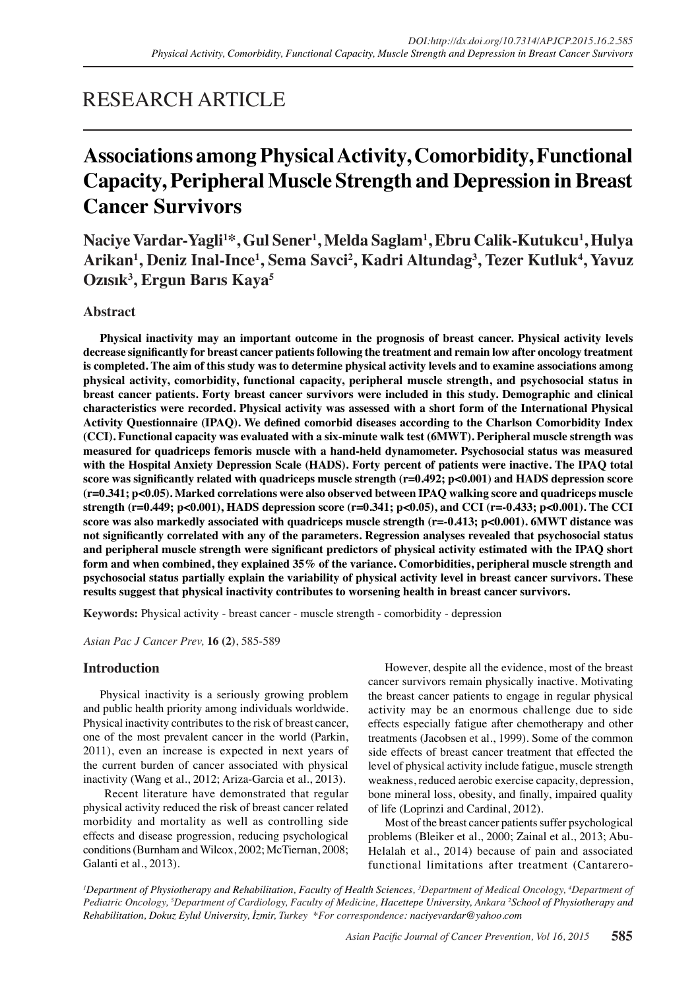## RESEARCH ARTICLE

# **Associations among Physical Activity, Comorbidity, Functional Capacity, Peripheral Muscle Strength and Depression in Breast Cancer Survivors**

**Naciye Vardar-Yagli<sup>1</sup> \*, Gul Sener<sup>1</sup> , Melda Saglam<sup>1</sup> , Ebru Calik-Kutukcu<sup>1</sup> , Hulya Arikan<sup>1</sup> , Deniz Inal-Ince<sup>1</sup> , Sema Savci<sup>2</sup> , Kadri Altundag<sup>3</sup> , Tezer Kutluk4 , Yavuz Ozısık3 , Ergun Barıs Kaya<sup>5</sup>**

## **Abstract**

**Physical inactivity may an important outcome in the prognosis of breast cancer. Physical activity levels decrease significantly for breast cancer patients following the treatment and remain low after oncology treatment is completed. The aim of this study was to determine physical activity levels and to examine associations among physical activity, comorbidity, functional capacity, peripheral muscle strength, and psychosocial status in breast cancer patients. Forty breast cancer survivors were included in this study. Demographic and clinical characteristics were recorded. Physical activity was assessed with a short form of the International Physical Activity Questionnaire (IPAQ). We defined comorbid diseases according to the Charlson Comorbidity Index (CCI). Functional capacity was evaluated with a six-minute walk test (6MWT). Peripheral muscle strength was measured for quadriceps femoris muscle with a hand-held dynamometer. Psychosocial status was measured with the Hospital Anxiety Depression Scale (HADS). Forty percent of patients were inactive. The IPAQ total score was significantly related with quadriceps muscle strength (r=0.492; p<0.001) and HADS depression score (r=0.341; p<0.05). Marked correlations were also observed between IPAQ walking score and quadriceps muscle strength (r=0.449; p<0.001), HADS depression score (r=0.341; p<0.05), and CCI (r=-0.433; p<0.001). The CCI score was also markedly associated with quadriceps muscle strength (r=-0.413; p<0.001). 6MWT distance was not significantly correlated with any of the parameters. Regression analyses revealed that psychosocial status and peripheral muscle strength were significant predictors of physical activity estimated with the IPAQ short form and when combined, they explained 35% of the variance. Comorbidities, peripheral muscle strength and psychosocial status partially explain the variability of physical activity level in breast cancer survivors. These results suggest that physical inactivity contributes to worsening health in breast cancer survivors.**

**Keywords:** Physical activity - breast cancer - muscle strength - comorbidity - depression

*Asian Pac J Cancer Prev,* **16 (2)**, 585-589

## **Introduction**

Physical inactivity is a seriously growing problem and public health priority among individuals worldwide. Physical inactivity contributes to the risk of breast cancer, one of the most prevalent cancer in the world (Parkin, 2011), even an increase is expected in next years of the current burden of cancer associated with physical inactivity (Wang et al., 2012; Ariza-Garcia et al., 2013).

 Recent literature have demonstrated that regular physical activity reduced the risk of breast cancer related morbidity and mortality as well as controlling side effects and disease progression, reducing psychological conditions (Burnham and Wilcox, 2002; McTiernan, 2008; Galanti et al., 2013).

However, despite all the evidence, most of the breast cancer survivors remain physically inactive. Motivating the breast cancer patients to engage in regular physical activity may be an enormous challenge due to side effects especially fatigue after chemotherapy and other treatments (Jacobsen et al., 1999). Some of the common side effects of breast cancer treatment that effected the level of physical activity include fatigue, muscle strength weakness, reduced aerobic exercise capacity, depression, bone mineral loss, obesity, and finally, impaired quality of life (Loprinzi and Cardinal, 2012).

Most of the breast cancer patients suffer psychological problems (Bleiker et al., 2000; Zainal et al., 2013; Abu-Helalah et al., 2014) because of pain and associated functional limitations after treatment (Cantarero-

*1 Department of Physiotherapy and Rehabilitation, Faculty of Health Sciences, 3 Department of Medical Oncology, 4 Department of Pediatric Oncology, 5 Department of Cardiology, Faculty of Medicine, Hacettepe University, Ankara <sup>2</sup> School of Physiotherapy and Rehabilitation, Dokuz Eylul University, İzmir, Turkey \*For correspondence: naciyevardar@yahoo.com*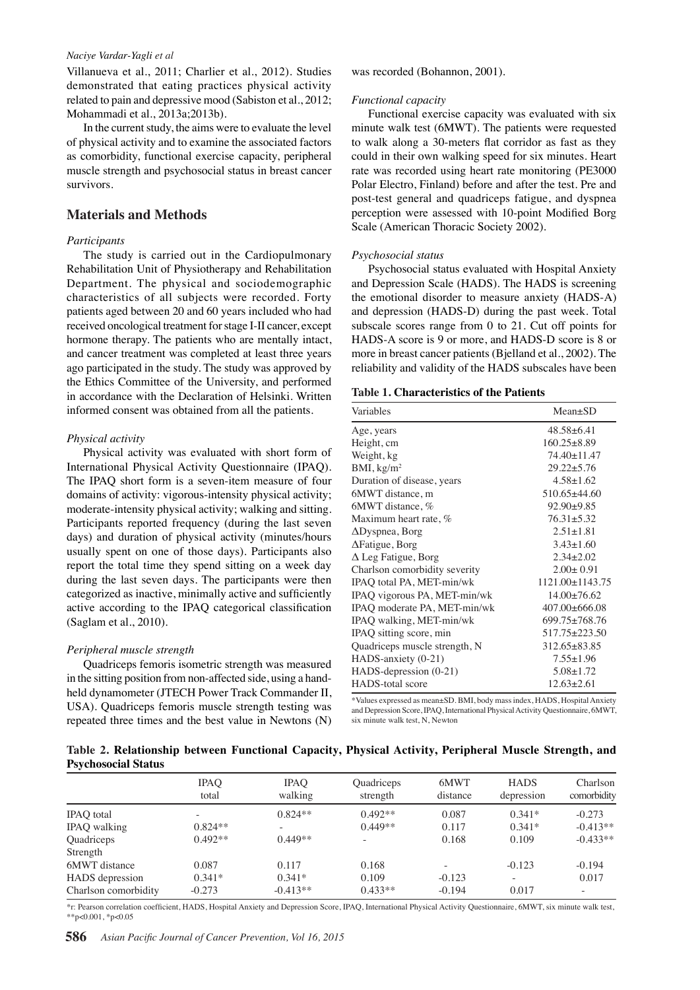#### *Naciye Vardar-Yagli et al*

Villanueva et al., 2011; Charlier et al., 2012). Studies demonstrated that eating practices physical activity related to pain and depressive mood (Sabiston et al., 2012; Mohammadi et al., 2013a;2013b).

In the current study, the aims were to evaluate the level of physical activity and to examine the associated factors as comorbidity, functional exercise capacity, peripheral muscle strength and psychosocial status in breast cancer survivors.

## **Materials and Methods**

#### *Participants*

The study is carried out in the Cardiopulmonary Rehabilitation Unit of Physiotherapy and Rehabilitation Department. The physical and sociodemographic characteristics of all subjects were recorded. Forty patients aged between 20 and 60 years included who had received oncological treatment for stage I-II cancer, except hormone therapy. The patients who are mentally intact, and cancer treatment was completed at least three years ago participated in the study. The study was approved by the Ethics Committee of the University, and performed in accordance with the Declaration of Helsinki. Written informed consent was obtained from all the patients.

#### *Physical activity*

Physical activity was evaluated with short form of International Physical Activity Questionnaire (IPAQ). The IPAQ short form is a seven-item measure of four domains of activity: vigorous-intensity physical activity; moderate-intensity physical activity; walking and sitting. Participants reported frequency (during the last seven days) and duration of physical activity (minutes/hours usually spent on one of those days). Participants also report the total time they spend sitting on a week day during the last seven days. The participants were then categorized as inactive, minimally active and sufficiently active according to the IPAQ categorical classification (Saglam et al., 2010).

#### *Peripheral muscle strength*

Quadriceps femoris isometric strength was measured in the sitting position from non-affected side, using a handheld dynamometer (JTECH Power Track Commander II, USA). Quadriceps femoris muscle strength testing was repeated three times and the best value in Newtons (N)

was recorded (Bohannon, 2001).

#### *Functional capacity*

Functional exercise capacity was evaluated with six minute walk test (6MWT). The patients were requested to walk along a 30-meters flat corridor as fast as they could in their own walking speed for six minutes. Heart rate was recorded using heart rate monitoring (PE3000 Polar Electro, Finland) before and after the test. Pre and post-test general and quadriceps fatigue, and dyspnea perception were assessed with 10-point Modified Borg Scale (American Thoracic Society 2002).

#### *Psychosocial status*

Psychosocial status evaluated with Hospital Anxiety and Depression Scale (HADS). The HADS is screening the emotional disorder to measure anxiety (HADS-A) and depression (HADS-D) during the past week. Total subscale scores range from 0 to 21. Cut off points for HADS-A score is 9 or more, and HADS-D score is 8 or more in breast cancer patients (Bjelland et al., 2002). The reliability and validity of the HADS subscales have been

### **Table 1. Characteristics of the Patients**

| Variables                     | $Mean+SD$             |
|-------------------------------|-----------------------|
| Age, years                    | $48.58 + 6.41$        |
| Height, cm                    | $160.25 \pm 8.89$     |
| Weight, kg                    | 74.40+11.47           |
| BMI, kg/m <sup>2</sup>        | $29.22 + 5.76$        |
| Duration of disease, years    | $4.58 + 1.62$         |
| 6MWT distance, m              | $510.65 + 44.60$      |
| 6MWT distance, %              | $92.90+9.85$          |
| Maximum heart rate, %         | $76.31 + 5.32$        |
| $\Delta$ Dyspnea, Borg        | $2.51 + 1.81$         |
| $\Delta$ Fatigue, Borg        | $3.43 \pm 1.60$       |
| $\Delta$ Leg Fatigue, Borg    | $2.34 + 2.02$         |
| Charlson comorbidity severity | $2.00 \pm 0.91$       |
| IPAQ total PA, MET-min/wk     | $1121.00 \pm 1143.75$ |
| IPAQ vigorous PA, MET-min/wk  | $14.00+76.62$         |
| IPAQ moderate PA, MET-min/wk  | $407.00\pm 666.08$    |
| IPAQ walking, MET-min/wk      | $699.75 \pm 768.76$   |
| IPAQ sitting score, min       | 517.75±223.50         |
| Quadriceps muscle strength, N | 312.65+83.85          |
| HADS-anxiety (0-21)           | $7.55 \pm 1.96$       |
| HADS-depression (0-21)        | $5.08 \pm 1.72$       |
| <b>HADS-total score</b>       | $12.63 \pm 2.61$      |

\*Values expressed as mean±SD. BMI, body mass index, HADS, Hospital Anxiety and Depression Score, IPAQ, International Physical Activity Questionnaire, 6MWT, six minute walk test, N, Newton

## **Table 2. Relationship between Functional Capacity, Physical Activity, Peripheral Muscle Strength, and Psychosocial Status**

|                      | <b>IPAO</b><br>total | <b>IPAO</b><br>walking | Quadriceps<br>strength   | 6MWT<br>distance         | <b>HADS</b><br>depression | Charlson<br>comorbidity |
|----------------------|----------------------|------------------------|--------------------------|--------------------------|---------------------------|-------------------------|
| <b>IPAQ</b> total    |                      | $0.824**$              | $0.492**$                | 0.087                    | $0.341*$                  | $-0.273$                |
| IPAQ walking         | $0.824**$            |                        | $0.449**$                | 0.117                    | $0.341*$                  | $-0.413**$              |
| Quadriceps           | $0.492**$            | $0.449**$              | $\overline{\phantom{a}}$ | 0.168                    | 0.109                     | $-0.433**$              |
| Strength             |                      |                        |                          |                          |                           |                         |
| 6MWT distance        | 0.087                | 0.117                  | 0.168                    | $\overline{\phantom{a}}$ | $-0.123$                  | $-0.194$                |
| HADS depression      | $0.341*$             | $0.341*$               | 0.109                    | $-0.123$                 |                           | 0.017                   |
| Charlson comorbidity | $-0.273$             | $-0.413**$             | $0.433**$                | $-0.194$                 | 0.017                     | ۰                       |

\*r: Pearson correlation coefficient, HADS, Hospital Anxiety and Depression Score, IPAQ, International Physical Activity Questionnaire, 6MWT, six minute walk test,  $*p<0.001$ ,  $*p<0.05$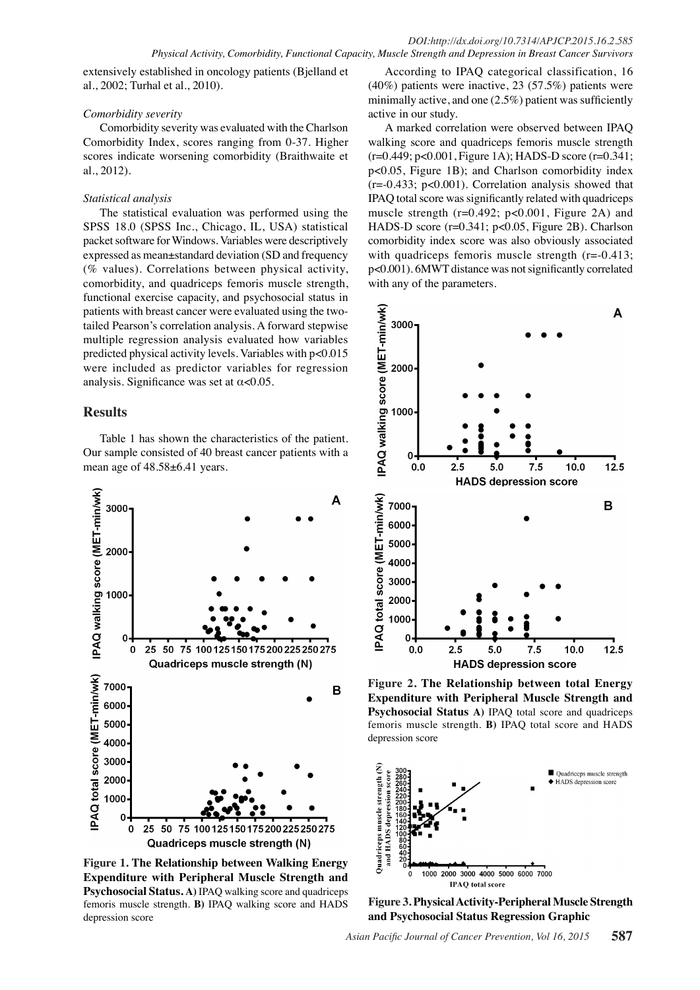extensively established in oncology patients (Bjelland et al., 2002; Turhal et al., 2010).

## *Comorbidity severity*

Comorbidity severity was evaluated with the Charlson Comorbidity Index, scores ranging from 0-37. Higher scores indicate worsening comorbidity (Braithwaite et al., 2012).

## *Statistical analysis*

The statistical evaluation was performed using the SPSS 18.0 (SPSS Inc., Chicago, IL, USA) statistical packet software for Windows. Variables were descriptively expressed as mean±standard deviation (SD and frequency (% values). Correlations between physical activity, comorbidity, and quadriceps femoris muscle strength, functional exercise capacity, and psychosocial status in patients with breast cancer were evaluated using the twotailed Pearson's correlation analysis. A forward stepwise multiple regression analysis evaluated how variables predicted physical activity levels. Variables with p<0.015 were included as predictor variables for regression analysis. Significance was set at  $\alpha$ <0.05.

## **Results**

Table 1 has shown the characteristics of the patient. Our sample consisted of 40 breast cancer patients with a mean age of  $48.58\text{±}6.41$  years.



**Figure 1. The Relationship between Walking Energy Expenditure with Peripheral Muscle Strength and Psychosocial Status. A)** IPAQ walking score and quadriceps femoris muscle strength. **B)** IPAQ walking score and HADS depression score

According to IPAQ categorical classification, 16 (40%) patients were inactive, 23 (57.5%) patients were minimally active, and one (2.5%) patient was sufficiently active in our study.

A marked correlation were observed between IPAQ walking score and quadriceps femoris muscle strength (r=0.449; p<0.001, Figure 1A); HADS-D score (r=0.341; p<0.05, Figure 1B); and Charlson comorbidity index (r=-0.433; p<0.001). Correlation analysis showed that IPAQ total score was significantly related with quadriceps muscle strength (r=0.492; p<0.001, Figure 2A) and HADS-D score (r=0.341; p<0.05, Figure 2B). Charlson comorbidity index score was also obviously associated with quadriceps femoris muscle strength  $(r=0.413;$ p<0.001). 6MWT distance was not significantly correlated with any of the parameters.



**Figure 2. The Relationship between total Energy Expenditure with Peripheral Muscle Strength and Psychosocial Status A)** IPAQ total score and quadriceps femoris muscle strength. **B)** IPAQ total score and HADS depression score



**Figure 3. Physical Activity-Peripheral Muscle Strength and Psychosocial Status Regression Graphic**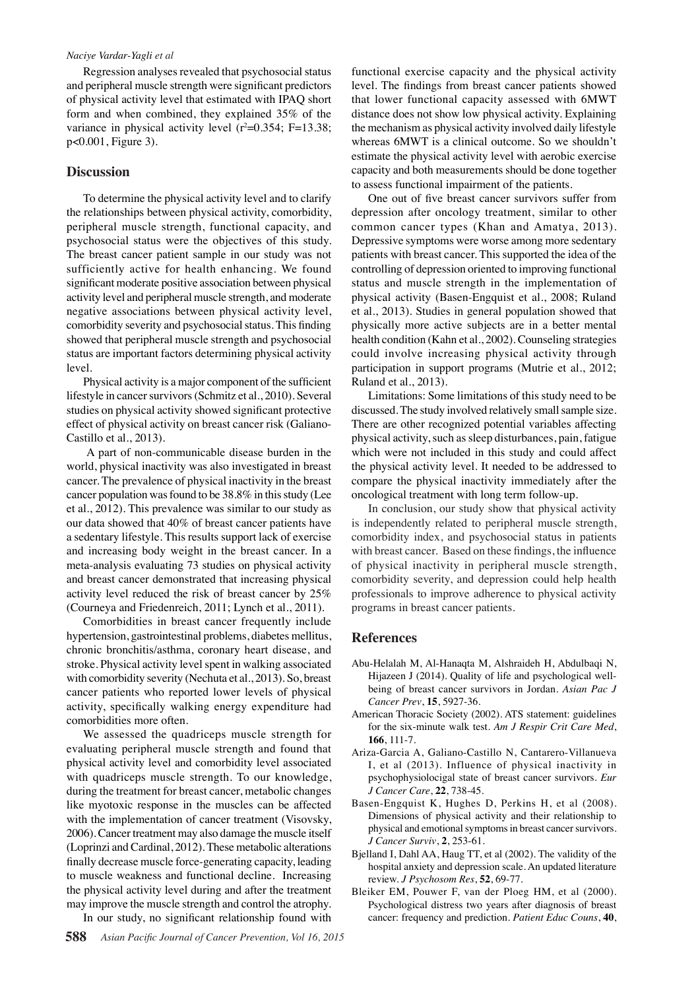#### *Naciye Vardar-Yagli et al*

Regression analyses revealed that psychosocial status and peripheral muscle strength were significant predictors of physical activity level that estimated with IPAQ short form and when combined, they explained 35% of the variance in physical activity level  $(r^2=0.354; F=13.38;$ p<0.001, Figure 3).

## **Discussion**

To determine the physical activity level and to clarify the relationships between physical activity, comorbidity, peripheral muscle strength, functional capacity, and psychosocial status were the objectives of this study. The breast cancer patient sample in our study was not sufficiently active for health enhancing. We found significant moderate positive association between physical activity level and peripheral muscle strength, and moderate negative associations between physical activity level, comorbidity severity and psychosocial status. This finding showed that peripheral muscle strength and psychosocial status are important factors determining physical activity level.

Physical activity is a major component of the sufficient lifestyle in cancer survivors (Schmitz et al., 2010). Several studies on physical activity showed significant protective effect of physical activity on breast cancer risk (Galiano-Castillo et al., 2013).

 A part of non-communicable disease burden in the world, physical inactivity was also investigated in breast cancer. The prevalence of physical inactivity in the breast cancer population was found to be 38.8% in this study (Lee et al., 2012). This prevalence was similar to our study as our data showed that 40% of breast cancer patients have a sedentary lifestyle. This results support lack of exercise and increasing body weight in the breast cancer. In a meta-analysis evaluating 73 studies on physical activity and breast cancer demonstrated that increasing physical activity level reduced the risk of breast cancer by 25% (Courneya and Friedenreich, 2011; Lynch et al., 2011).

Comorbidities in breast cancer frequently include hypertension, gastrointestinal problems, diabetes mellitus, chronic bronchitis/asthma, coronary heart disease, and stroke. Physical activity level spent in walking associated with comorbidity severity (Nechuta et al., 2013). So, breast cancer patients who reported lower levels of physical activity, specifically walking energy expenditure had comorbidities more often.

We assessed the quadriceps muscle strength for evaluating peripheral muscle strength and found that physical activity level and comorbidity level associated with quadriceps muscle strength. To our knowledge, during the treatment for breast cancer, metabolic changes like myotoxic response in the muscles can be affected with the implementation of cancer treatment (Visovsky, 2006). Cancer treatment may also damage the muscle itself (Loprinzi and Cardinal, 2012). These metabolic alterations finally decrease muscle force-generating capacity, leading to muscle weakness and functional decline. Increasing the physical activity level during and after the treatment may improve the muscle strength and control the atrophy. In our study, no significant relationship found with

functional exercise capacity and the physical activity level. The findings from breast cancer patients showed that lower functional capacity assessed with 6MWT distance does not show low physical activity. Explaining the mechanism as physical activity involved daily lifestyle whereas 6MWT is a clinical outcome. So we shouldn't estimate the physical activity level with aerobic exercise capacity and both measurements should be done together to assess functional impairment of the patients.

One out of five breast cancer survivors suffer from depression after oncology treatment, similar to other common cancer types (Khan and Amatya, 2013). Depressive symptoms were worse among more sedentary patients with breast cancer. This supported the idea of the controlling of depression oriented to improving functional status and muscle strength in the implementation of physical activity (Basen-Engquist et al., 2008; Ruland et al., 2013). Studies in general population showed that physically more active subjects are in a better mental health condition (Kahn et al., 2002). Counseling strategies could involve increasing physical activity through participation in support programs (Mutrie et al., 2012; Ruland et al., 2013).

Limitations: Some limitations of this study need to be discussed. The study involved relatively small sample size. There are other recognized potential variables affecting physical activity, such as sleep disturbances, pain, fatigue which were not included in this study and could affect the physical activity level. It needed to be addressed to compare the physical inactivity immediately after the oncological treatment with long term follow-up.

In conclusion, our study show that physical activity is independently related to peripheral muscle strength, comorbidity index, and psychosocial status in patients with breast cancer. Based on these findings, the influence of physical inactivity in peripheral muscle strength, comorbidity severity, and depression could help health professionals to improve adherence to physical activity programs in breast cancer patients.

## **References**

- Abu-Helalah M, Al-Hanaqta M, Alshraideh H, Abdulbaqi N, Hijazeen J (2014). Quality of life and psychological wellbeing of breast cancer survivors in Jordan. *Asian Pac J Cancer Prev*, **15**, 5927-36.
- American Thoracic Society (2002). ATS statement: guidelines for the six-minute walk test. *Am J Respir Crit Care Med*, **166**, 111-7.
- Ariza-Garcia A, Galiano-Castillo N, Cantarero-Villanueva I, et al (2013). Influence of physical inactivity in psychophysiolocigal state of breast cancer survivors. *Eur J Cancer Care*, **22**, 738-45.
- Basen-Engquist K, Hughes D, Perkins H, et al (2008). Dimensions of physical activity and their relationship to physical and emotional symptoms in breast cancer survivors. *J Cancer Surviv*, **2**, 253-61.
- Bjelland I, Dahl AA, Haug TT, et al (2002). The validity of the hospital anxiety and depression scale. An updated literature review. *J Psychosom Res*, **52**, 69-77.
- Bleiker EM, Pouwer F, van der Ploeg HM, et al (2000). Psychological distress two years after diagnosis of breast cancer: frequency and prediction. *Patient Educ Couns*, **40**,